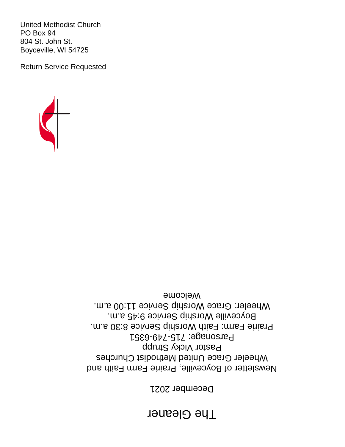# **The Gleaner**

December 2021

Newsletter of Boyceville, Prairie Farm Faith and Wheeler Grace United Methodist Churches Pastor Vicky Strupp Parsonage: 715-749-6351 Prairie Farm: Faith Worship Service 8:30 a.m. Boyceville Worship Service 9:45 a.m. Wheeler: Grace Worship Service 11:00 a.m. Welcome



United Methodist Church PO Box 94 804 St. John St. Boyceville, WI 54725

Return Service Requested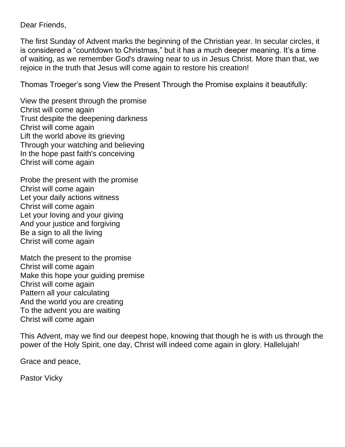Dear Friends,

The first Sunday of Advent marks the beginning of the Christian year. In secular circles, it is considered a "countdown to Christmas," but it has a much deeper meaning. It's a time of waiting, as we remember God's drawing near to us in Jesus Christ. More than that, we rejoice in the truth that Jesus will come again to restore his creation!

Thomas Troeger's song View the Present Through the Promise explains it beautifully:

View the present through the promise Christ will come again Trust despite the deepening darkness Christ will come again Lift the world above its grieving Through your watching and believing In the hope past faith's conceiving Christ will come again

Probe the present with the promise Christ will come again Let your daily actions witness Christ will come again Let your loving and your giving And your justice and forgiving Be a sign to all the living Christ will come again

Match the present to the promise Christ will come again Make this hope your guiding premise Christ will come again Pattern all your calculating And the world you are creating To the advent you are waiting Christ will come again

This Advent, may we find our deepest hope, knowing that though he is with us through the power of the Holy Spirit, one day, Christ will indeed come again in glory. Hallelujah!

Grace and peace,

Pastor Vicky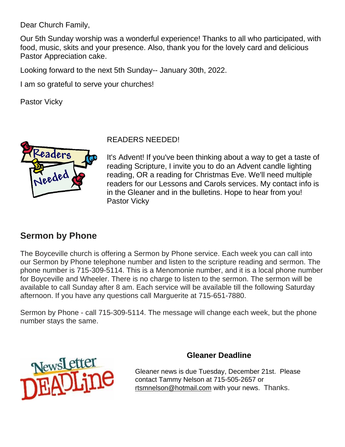Dear Church Family,

Our 5th Sunday worship was a wonderful experience! Thanks to all who participated, with food, music, skits and your presence. Also, thank you for the lovely card and delicious Pastor Appreciation cake.

Looking forward to the next 5th Sunday-- January 30th, 2022.

I am so grateful to serve your churches!

Pastor Vicky



READERS NEEDED!

It's Advent! If you've been thinking about a way to get a taste of reading Scripture, I invite you to do an Advent candle lighting reading, OR a reading for Christmas Eve. We'll need multiple readers for our Lessons and Carols services. My contact info is in the Gleaner and in the bulletins. Hope to hear from you! Pastor Vicky

#### **Sermon by Phone**

The Boyceville church is offering a Sermon by Phone service. Each week you can call into our Sermon by Phone telephone number and listen to the scripture reading and sermon. The phone number is 715-309-5114. This is a Menomonie number, and it is a local phone number for Boyceville and Wheeler. There is no charge to listen to the sermon. The sermon will be available to call Sunday after 8 am. Each service will be available till the following Saturday afternoon. If you have any questions call Marguerite at 715-651-7880.

Sermon by Phone - call 715-309-5114. The message will change each week, but the phone number stays the same.



#### **Gleaner Deadline**

Gleaner news is due Tuesday, December 21st. Please contact Tammy Nelson at 715-505-2657 or [rtsmnelson@hotmail.com](mailto:rtsmnelson@hotmail.com) with your news. Thanks.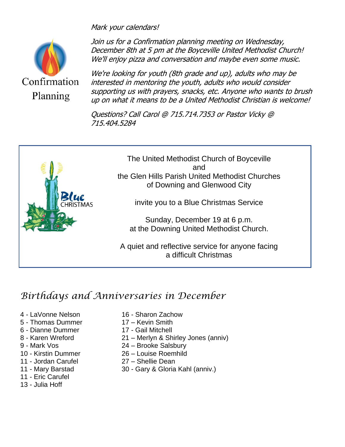

Mark your calendars!

Join us for a Confirmation planning meeting on Wednesday, December 8th at 5 pm at the Boyceville United Methodist Church! We'll enjoy pizza and conversation and maybe even some music.

We're looking for youth (8th grade and up), adults who may be interested in mentoring the youth, adults who would consider supporting us with prayers, snacks, etc. Anyone who wants to brush up on what it means to be a United Methodist Christian is welcome!

Questions? Call Carol @ 715.714.7353 or Pastor Vicky @ 715.404.5284



## *Birthdays and Anniversaries in December*

- 
- 5 Thomas Dummer 17 Kevin Smith
- 6 Dianne Dummer 17 Gail Mitchell
- 
- 
- 
- 
- 
- 11 Eric Carufel
- 13 Julia Hoff
- 4 LaVonne Nelson 16 Sharon Zachow
	-
	-
- 8 Karen Wreford 21 Merlyn & Shirley Jones (anniv)
- 9 Mark Vos 24 Brooke Salsbury
- 10 Kirstin Dummer 26 Louise Roemhild
- 11 Jordan Carufel 27 Shellie Dean
- 11 Mary Barstad 30 Gary & Gloria Kahl (anniv.)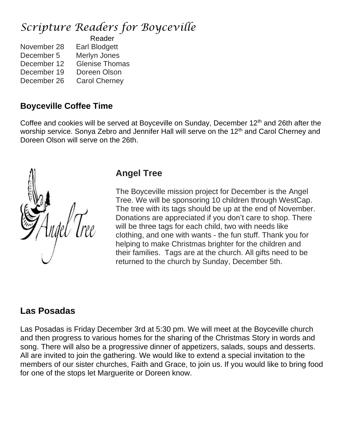## *Scripture Readers for Boyceville*

|             | Reader                |  |
|-------------|-----------------------|--|
| November 28 | Earl Blodgett         |  |
| December 5  | Merlyn Jones          |  |
| December 12 | <b>Glenise Thomas</b> |  |
| December 19 | Doreen Olson          |  |
| December 26 | <b>Carol Cherney</b>  |  |

### **Boyceville Coffee Time**

Coffee and cookies will be served at Boyceville on Sunday, December 12<sup>th</sup> and 26th after the worship service. Sonya Zebro and Jennifer Hall will serve on the 12<sup>th</sup> and Carol Cherney and Doreen Olson will serve on the 26th.



## **Angel Tree**

The Boyceville mission project for December is the Angel Tree. We will be sponsoring 10 children through WestCap. The tree with its tags should be up at the end of November. Donations are appreciated if you don't care to shop. There will be three tags for each child, two with needs like clothing, and one with wants - the fun stuff. Thank you for helping to make Christmas brighter for the children and their families. Tags are at the church. All gifts need to be returned to the church by Sunday, December 5th.

## **Las Posadas**

Las Posadas is Friday December 3rd at 5:30 pm. We will meet at the Boyceville church and then progress to various homes for the sharing of the Christmas Story in words and song. There will also be a progressive dinner of appetizers, salads, soups and desserts. All are invited to join the gathering. We would like to extend a special invitation to the members of our sister churches, Faith and Grace, to join us. If you would like to bring food for one of the stops let Marguerite or Doreen know.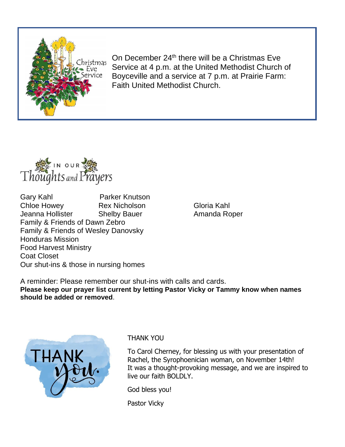

On December 24<sup>th</sup> there will be a Christmas Eve Service at 4 p.m. at the United Methodist Church of Boyceville and a service at 7 p.m. at Prairie Farm: Faith United Methodist Church.



Gary Kahl Parker Knutson Chloe Howey **Rex Nicholson** Gloria Kahl Jeanna Hollister Shelby Bauer **Amanda Roper** Family & Friends of Dawn Zebro Family & Friends of Wesley Danovsky Honduras Mission Food Harvest Ministry Coat Closet Our shut-ins & those in nursing homes

A reminder: Please remember our shut-ins with calls and cards. **Please keep our prayer list current by letting Pastor Vicky or Tammy know when names should be added or removed**.



THANK YOU

To Carol Cherney, for blessing us with your presentation of Rachel, the Syrophoenician woman, on November 14th! It was a thought-provoking message, and we are inspired to live our faith BOLDLY.

God bless you!

Pastor Vicky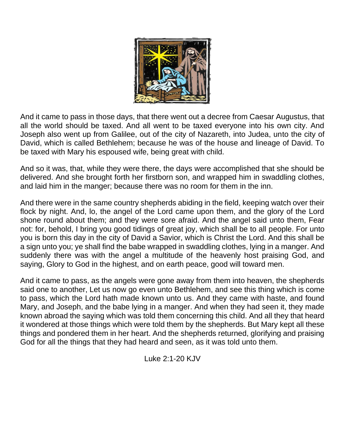

And it came to pass in those days, that there went out a decree from Caesar Augustus, that all the world should be taxed. And all went to be taxed everyone into his own city. And Joseph also went up from Galilee, out of the city of Nazareth, into Judea, unto the city of David, which is called Bethlehem; because he was of the house and lineage of David. To be taxed with Mary his espoused wife, being great with child.

And so it was, that, while they were there, the days were accomplished that she should be delivered. And she brought forth her firstborn son, and wrapped him in swaddling clothes, and laid him in the manger; because there was no room for them in the inn.

And there were in the same country shepherds abiding in the field, keeping watch over their flock by night. And, lo, the angel of the Lord came upon them, and the glory of the Lord shone round about them; and they were sore afraid. And the angel said unto them, Fear not: for, behold, I bring you good tidings of great joy, which shall be to all people. For unto you is born this day in the city of David a Savior, which is Christ the Lord. And this shall be a sign unto you; ye shall find the babe wrapped in swaddling clothes, lying in a manger. And suddenly there was with the angel a multitude of the heavenly host praising God, and saying, Glory to God in the highest, and on earth peace, good will toward men.

And it came to pass, as the angels were gone away from them into heaven, the shepherds said one to another, Let us now go even unto Bethlehem, and see this thing which is come to pass, which the Lord hath made known unto us. And they came with haste, and found Mary, and Joseph, and the babe lying in a manger. And when they had seen it, they made known abroad the saying which was told them concerning this child. And all they that heard it wondered at those things which were told them by the shepherds. But Mary kept all these things and pondered them in her heart. And the shepherds returned, glorifying and praising God for all the things that they had heard and seen, as it was told unto them.

Luke 2:1-20 KJV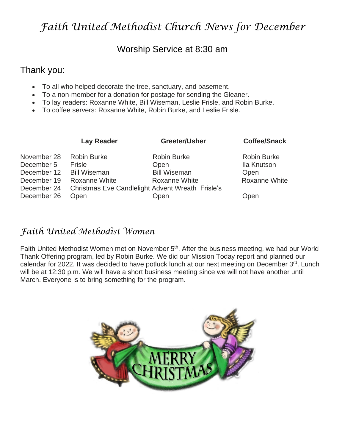## *Faith United Methodist Church News for December*

#### Worship Service at 8:30 am

#### Thank you:

- To all who helped decorate the tree, sanctuary, and basement.
- To a non-member for a donation for postage for sending the Gleaner.
- To lay readers: Roxanne White, Bill Wiseman, Leslie Frisle, and Robin Burke.
- To coffee servers: Roxanne White, Robin Burke, and Leslie Frisle.

| <b>Lay Reader</b>   | Greeter/Usher | <b>Coffee/Snack</b>                                                                                                            |
|---------------------|---------------|--------------------------------------------------------------------------------------------------------------------------------|
| <b>Robin Burke</b>  |               | <b>Robin Burke</b>                                                                                                             |
| Frisle              |               | Ila Knutson                                                                                                                    |
| <b>Bill Wiseman</b> |               | Open                                                                                                                           |
| Roxanne White       |               | <b>Roxanne White</b>                                                                                                           |
|                     |               |                                                                                                                                |
| Open                |               | Open                                                                                                                           |
|                     |               | <b>Robin Burke</b><br>Open<br><b>Bill Wiseman</b><br>Roxanne White<br>Christmas Eve Candlelight Advent Wreath Frisle's<br>Open |

#### *Faith United Methodist Women*

Faith United Methodist Women met on November 5<sup>th</sup>. After the business meeting, we had our World Thank Offering program, led by Robin Burke. We did our Mission Today report and planned our calendar for 2022. It was decided to have potluck lunch at our next meeting on December 3<sup>rd</sup>. Lunch will be at 12:30 p.m. We will have a short business meeting since we will not have another until March. Everyone is to bring something for the program.